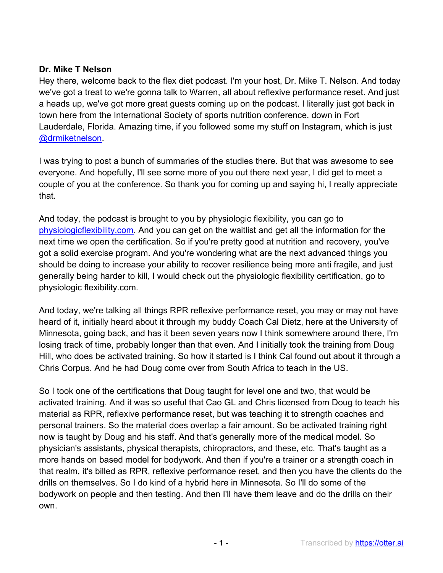### **Dr. Mike T Nelson**

Hey there, welcome back to the flex diet podcast. I'm your host, Dr. Mike T. Nelson. And today we've got a treat to we're gonna talk to Warren, all about reflexive performance reset. And just a heads up, we've got more great guests coming up on the podcast. I literally just got back in town here from the International Society of sports nutrition conference, down in Fort Lauderdale, Florida. Amazing time, if you followed some my stuff on Instagram, which is just @drmiketnelson.

I was trying to post a bunch of summaries of the studies there. But that was awesome to see everyone. And hopefully, I'll see some more of you out there next year, I did get to meet a couple of you at the conference. So thank you for coming up and saying hi, I really appreciate that.

And today, the podcast is brought to you by physiologic flexibility, you can go to physiologicflexibility.com. And you can get on the waitlist and get all the information for the next time we open the certification. So if you're pretty good at nutrition and recovery, you've got a solid exercise program. And you're wondering what are the next advanced things you should be doing to increase your ability to recover resilience being more anti fragile, and just generally being harder to kill, I would check out the physiologic flexibility certification, go to physiologic flexibility.com.

And today, we're talking all things RPR reflexive performance reset, you may or may not have heard of it, initially heard about it through my buddy Coach Cal Dietz, here at the University of Minnesota, going back, and has it been seven years now I think somewhere around there, I'm losing track of time, probably longer than that even. And I initially took the training from Doug Hill, who does be activated training. So how it started is I think Cal found out about it through a Chris Corpus. And he had Doug come over from South Africa to teach in the US.

So I took one of the certifications that Doug taught for level one and two, that would be activated training. And it was so useful that Cao GL and Chris licensed from Doug to teach his material as RPR, reflexive performance reset, but was teaching it to strength coaches and personal trainers. So the material does overlap a fair amount. So be activated training right now is taught by Doug and his staff. And that's generally more of the medical model. So physician's assistants, physical therapists, chiropractors, and these, etc. That's taught as a more hands on based model for bodywork. And then if you're a trainer or a strength coach in that realm, it's billed as RPR, reflexive performance reset, and then you have the clients do the drills on themselves. So I do kind of a hybrid here in Minnesota. So I'll do some of the bodywork on people and then testing. And then I'll have them leave and do the drills on their own.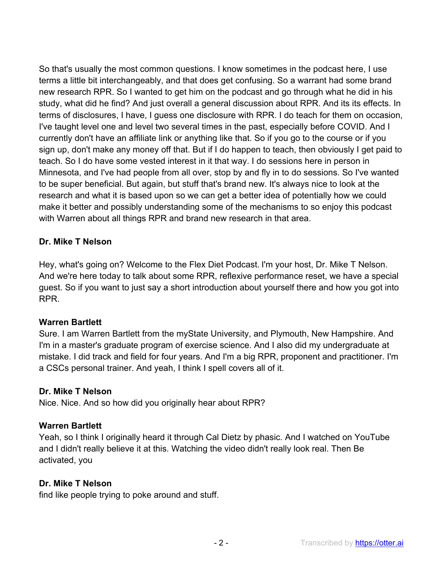So that's usually the most common questions. I know sometimes in the podcast here, I use terms a little bit interchangeably, and that does get confusing. So a warrant had some brand new research RPR. So I wanted to get him on the podcast and go through what he did in his study, what did he find? And just overall a general discussion about RPR. And its its effects. In terms of disclosures, I have, I guess one disclosure with RPR. I do teach for them on occasion, I've taught level one and level two several times in the past, especially before COVID. And I currently don't have an affiliate link or anything like that. So if you go to the course or if you sign up, don't make any money off that. But if I do happen to teach, then obviously I get paid to teach. So I do have some vested interest in it that way. I do sessions here in person in Minnesota, and I've had people from all over, stop by and fly in to do sessions. So I've wanted to be super beneficial. But again, but stuff that's brand new. It's always nice to look at the research and what it is based upon so we can get a better idea of potentially how we could make it better and possibly understanding some of the mechanisms to so enjoy this podcast with Warren about all things RPR and brand new research in that area.

### **Dr. Mike T Nelson**

Hey, what's going on? Welcome to the Flex Diet Podcast. I'm your host, Dr. Mike T Nelson. And we're here today to talk about some RPR, reflexive performance reset, we have a special guest. So if you want to just say a short introduction about yourself there and how you got into RPR.

### **Warren Bartlett**

Sure. I am Warren Bartlett from the myState University, and Plymouth, New Hampshire. And I'm in a master's graduate program of exercise science. And I also did my undergraduate at mistake. I did track and field for four years. And I'm a big RPR, proponent and practitioner. I'm a CSCs personal trainer. And yeah, I think I spell covers all of it.

### **Dr. Mike T Nelson**

Nice. Nice. And so how did you originally hear about RPR?

### **Warren Bartlett**

Yeah, so I think I originally heard it through Cal Dietz by phasic. And I watched on YouTube and I didn't really believe it at this. Watching the video didn't really look real. Then Be activated, you

#### **Dr. Mike T Nelson**

find like people trying to poke around and stuff.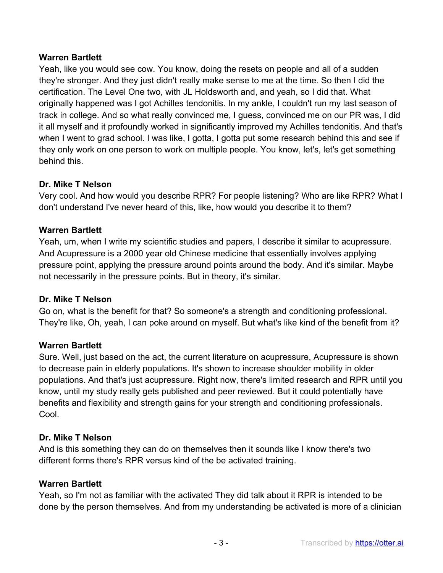## **Warren Bartlett**

Yeah, like you would see cow. You know, doing the resets on people and all of a sudden they're stronger. And they just didn't really make sense to me at the time. So then I did the certification. The Level One two, with JL Holdsworth and, and yeah, so I did that. What originally happened was I got Achilles tendonitis. In my ankle, I couldn't run my last season of track in college. And so what really convinced me, I guess, convinced me on our PR was, I did it all myself and it profoundly worked in significantly improved my Achilles tendonitis. And that's when I went to grad school. I was like, I gotta, I gotta put some research behind this and see if they only work on one person to work on multiple people. You know, let's, let's get something behind this.

# **Dr. Mike T Nelson**

Very cool. And how would you describe RPR? For people listening? Who are like RPR? What I don't understand I've never heard of this, like, how would you describe it to them?

# **Warren Bartlett**

Yeah, um, when I write my scientific studies and papers, I describe it similar to acupressure. And Acupressure is a 2000 year old Chinese medicine that essentially involves applying pressure point, applying the pressure around points around the body. And it's similar. Maybe not necessarily in the pressure points. But in theory, it's similar.

### **Dr. Mike T Nelson**

Go on, what is the benefit for that? So someone's a strength and conditioning professional. They're like, Oh, yeah, I can poke around on myself. But what's like kind of the benefit from it?

### **Warren Bartlett**

Sure. Well, just based on the act, the current literature on acupressure, Acupressure is shown to decrease pain in elderly populations. It's shown to increase shoulder mobility in older populations. And that's just acupressure. Right now, there's limited research and RPR until you know, until my study really gets published and peer reviewed. But it could potentially have benefits and flexibility and strength gains for your strength and conditioning professionals. Cool.

### **Dr. Mike T Nelson**

And is this something they can do on themselves then it sounds like I know there's two different forms there's RPR versus kind of the be activated training.

### **Warren Bartlett**

Yeah, so I'm not as familiar with the activated They did talk about it RPR is intended to be done by the person themselves. And from my understanding be activated is more of a clinician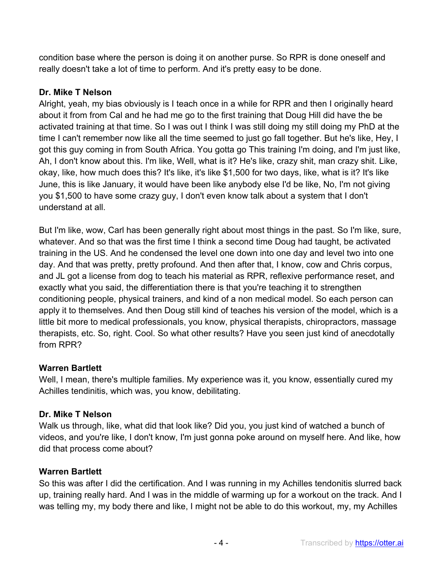condition base where the person is doing it on another purse. So RPR is done oneself and really doesn't take a lot of time to perform. And it's pretty easy to be done.

# **Dr. Mike T Nelson**

Alright, yeah, my bias obviously is I teach once in a while for RPR and then I originally heard about it from from Cal and he had me go to the first training that Doug Hill did have the be activated training at that time. So I was out I think I was still doing my still doing my PhD at the time I can't remember now like all the time seemed to just go fall together. But he's like, Hey, I got this guy coming in from South Africa. You gotta go This training I'm doing, and I'm just like, Ah, I don't know about this. I'm like, Well, what is it? He's like, crazy shit, man crazy shit. Like, okay, like, how much does this? It's like, it's like \$1,500 for two days, like, what is it? It's like June, this is like January, it would have been like anybody else I'd be like, No, I'm not giving you \$1,500 to have some crazy guy, I don't even know talk about a system that I don't understand at all.

But I'm like, wow, Carl has been generally right about most things in the past. So I'm like, sure, whatever. And so that was the first time I think a second time Doug had taught, be activated training in the US. And he condensed the level one down into one day and level two into one day. And that was pretty, pretty profound. And then after that, I know, cow and Chris corpus, and JL got a license from dog to teach his material as RPR, reflexive performance reset, and exactly what you said, the differentiation there is that you're teaching it to strengthen conditioning people, physical trainers, and kind of a non medical model. So each person can apply it to themselves. And then Doug still kind of teaches his version of the model, which is a little bit more to medical professionals, you know, physical therapists, chiropractors, massage therapists, etc. So, right. Cool. So what other results? Have you seen just kind of anecdotally from RPR?

# **Warren Bartlett**

Well, I mean, there's multiple families. My experience was it, you know, essentially cured my Achilles tendinitis, which was, you know, debilitating.

# **Dr. Mike T Nelson**

Walk us through, like, what did that look like? Did you, you just kind of watched a bunch of videos, and you're like, I don't know, I'm just gonna poke around on myself here. And like, how did that process come about?

# **Warren Bartlett**

So this was after I did the certification. And I was running in my Achilles tendonitis slurred back up, training really hard. And I was in the middle of warming up for a workout on the track. And I was telling my, my body there and like, I might not be able to do this workout, my, my Achilles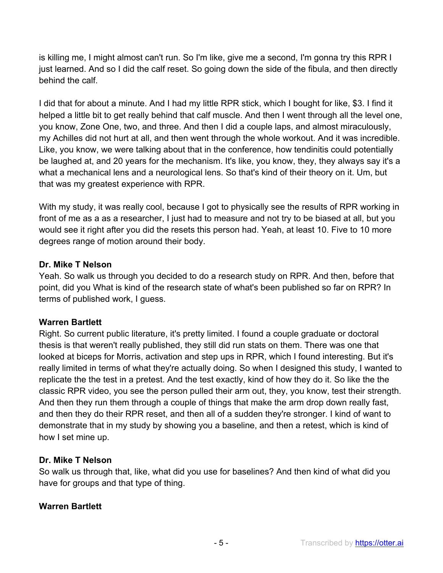is killing me, I might almost can't run. So I'm like, give me a second, I'm gonna try this RPR I just learned. And so I did the calf reset. So going down the side of the fibula, and then directly behind the calf.

I did that for about a minute. And I had my little RPR stick, which I bought for like, \$3. I find it helped a little bit to get really behind that calf muscle. And then I went through all the level one, you know, Zone One, two, and three. And then I did a couple laps, and almost miraculously, my Achilles did not hurt at all, and then went through the whole workout. And it was incredible. Like, you know, we were talking about that in the conference, how tendinitis could potentially be laughed at, and 20 years for the mechanism. It's like, you know, they, they always say it's a what a mechanical lens and a neurological lens. So that's kind of their theory on it. Um, but that was my greatest experience with RPR.

With my study, it was really cool, because I got to physically see the results of RPR working in front of me as a as a researcher, I just had to measure and not try to be biased at all, but you would see it right after you did the resets this person had. Yeah, at least 10. Five to 10 more degrees range of motion around their body.

### **Dr. Mike T Nelson**

Yeah. So walk us through you decided to do a research study on RPR. And then, before that point, did you What is kind of the research state of what's been published so far on RPR? In terms of published work, I guess.

# **Warren Bartlett**

Right. So current public literature, it's pretty limited. I found a couple graduate or doctoral thesis is that weren't really published, they still did run stats on them. There was one that looked at biceps for Morris, activation and step ups in RPR, which I found interesting. But it's really limited in terms of what they're actually doing. So when I designed this study, I wanted to replicate the the test in a pretest. And the test exactly, kind of how they do it. So like the the classic RPR video, you see the person pulled their arm out, they, you know, test their strength. And then they run them through a couple of things that make the arm drop down really fast, and then they do their RPR reset, and then all of a sudden they're stronger. I kind of want to demonstrate that in my study by showing you a baseline, and then a retest, which is kind of how I set mine up.

### **Dr. Mike T Nelson**

So walk us through that, like, what did you use for baselines? And then kind of what did you have for groups and that type of thing.

# **Warren Bartlett**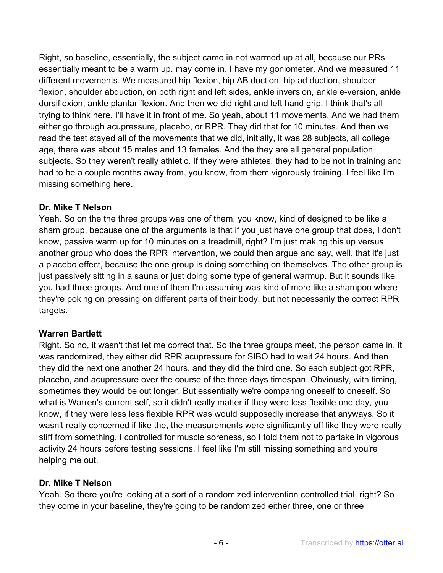Right, so baseline, essentially, the subject came in not warmed up at all, because our PRs essentially meant to be a warm up. may come in, I have my goniometer. And we measured 11 different movements. We measured hip flexion, hip AB duction, hip ad duction, shoulder flexion, shoulder abduction, on both right and left sides, ankle inversion, ankle e-version, ankle dorsiflexion, ankle plantar flexion. And then we did right and left hand grip. I think that's all trying to think here. I'll have it in front of me. So yeah, about 11 movements. And we had them either go through acupressure, placebo, or RPR. They did that for 10 minutes. And then we read the test stayed all of the movements that we did, initially, it was 28 subjects, all college age, there was about 15 males and 13 females. And the they are all general population subjects. So they weren't really athletic. If they were athletes, they had to be not in training and had to be a couple months away from, you know, from them vigorously training. I feel like I'm missing something here.

### **Dr. Mike T Nelson**

Yeah. So on the the three groups was one of them, you know, kind of designed to be like a sham group, because one of the arguments is that if you just have one group that does, I don't know, passive warm up for 10 minutes on a treadmill, right? I'm just making this up versus another group who does the RPR intervention, we could then argue and say, well, that it's just a placebo effect, because the one group is doing something on themselves. The other group is just passively sitting in a sauna or just doing some type of general warmup. But it sounds like you had three groups. And one of them I'm assuming was kind of more like a shampoo where they're poking on pressing on different parts of their body, but not necessarily the correct RPR targets.

# **Warren Bartlett**

Right. So no, it wasn't that let me correct that. So the three groups meet, the person came in, it was randomized, they either did RPR acupressure for SIBO had to wait 24 hours. And then they did the next one another 24 hours, and they did the third one. So each subject got RPR, placebo, and acupressure over the course of the three days timespan. Obviously, with timing, sometimes they would be out longer. But essentially we're comparing oneself to oneself. So what is Warren's current self, so it didn't really matter if they were less flexible one day, you know, if they were less less flexible RPR was would supposedly increase that anyways. So it wasn't really concerned if like the, the measurements were significantly off like they were really stiff from something. I controlled for muscle soreness, so I told them not to partake in vigorous activity 24 hours before testing sessions. I feel like I'm still missing something and you're helping me out.

# **Dr. Mike T Nelson**

Yeah. So there you're looking at a sort of a randomized intervention controlled trial, right? So they come in your baseline, they're going to be randomized either three, one or three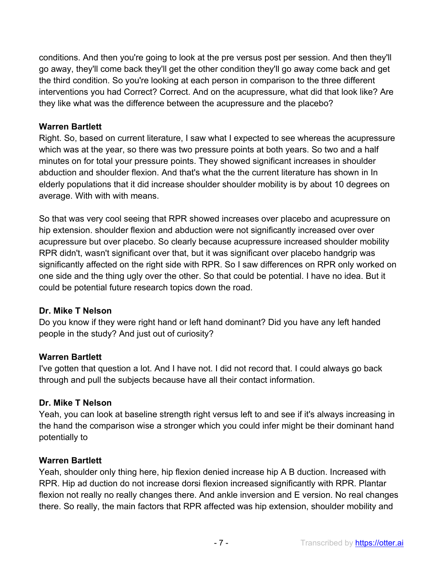conditions. And then you're going to look at the pre versus post per session. And then they'll go away, they'll come back they'll get the other condition they'll go away come back and get the third condition. So you're looking at each person in comparison to the three different interventions you had Correct? Correct. And on the acupressure, what did that look like? Are they like what was the difference between the acupressure and the placebo?

#### **Warren Bartlett**

Right. So, based on current literature, I saw what I expected to see whereas the acupressure which was at the year, so there was two pressure points at both years. So two and a half minutes on for total your pressure points. They showed significant increases in shoulder abduction and shoulder flexion. And that's what the the current literature has shown in In elderly populations that it did increase shoulder shoulder mobility is by about 10 degrees on average. With with with means.

So that was very cool seeing that RPR showed increases over placebo and acupressure on hip extension. shoulder flexion and abduction were not significantly increased over over acupressure but over placebo. So clearly because acupressure increased shoulder mobility RPR didn't, wasn't significant over that, but it was significant over placebo handgrip was significantly affected on the right side with RPR. So I saw differences on RPR only worked on one side and the thing ugly over the other. So that could be potential. I have no idea. But it could be potential future research topics down the road.

### **Dr. Mike T Nelson**

Do you know if they were right hand or left hand dominant? Did you have any left handed people in the study? And just out of curiosity?

### **Warren Bartlett**

I've gotten that question a lot. And I have not. I did not record that. I could always go back through and pull the subjects because have all their contact information.

### **Dr. Mike T Nelson**

Yeah, you can look at baseline strength right versus left to and see if it's always increasing in the hand the comparison wise a stronger which you could infer might be their dominant hand potentially to

#### **Warren Bartlett**

Yeah, shoulder only thing here, hip flexion denied increase hip A B duction. Increased with RPR. Hip ad duction do not increase dorsi flexion increased significantly with RPR. Plantar flexion not really no really changes there. And ankle inversion and E version. No real changes there. So really, the main factors that RPR affected was hip extension, shoulder mobility and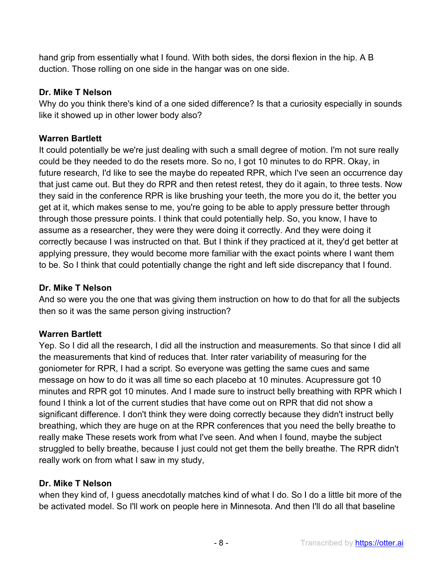hand grip from essentially what I found. With both sides, the dorsi flexion in the hip. A B duction. Those rolling on one side in the hangar was on one side.

## **Dr. Mike T Nelson**

Why do you think there's kind of a one sided difference? Is that a curiosity especially in sounds like it showed up in other lower body also?

# **Warren Bartlett**

It could potentially be we're just dealing with such a small degree of motion. I'm not sure really could be they needed to do the resets more. So no, I got 10 minutes to do RPR. Okay, in future research, I'd like to see the maybe do repeated RPR, which I've seen an occurrence day that just came out. But they do RPR and then retest retest, they do it again, to three tests. Now they said in the conference RPR is like brushing your teeth, the more you do it, the better you get at it, which makes sense to me, you're going to be able to apply pressure better through through those pressure points. I think that could potentially help. So, you know, I have to assume as a researcher, they were they were doing it correctly. And they were doing it correctly because I was instructed on that. But I think if they practiced at it, they'd get better at applying pressure, they would become more familiar with the exact points where I want them to be. So I think that could potentially change the right and left side discrepancy that I found.

### **Dr. Mike T Nelson**

And so were you the one that was giving them instruction on how to do that for all the subjects then so it was the same person giving instruction?

# **Warren Bartlett**

Yep. So I did all the research, I did all the instruction and measurements. So that since I did all the measurements that kind of reduces that. Inter rater variability of measuring for the goniometer for RPR, I had a script. So everyone was getting the same cues and same message on how to do it was all time so each placebo at 10 minutes. Acupressure got 10 minutes and RPR got 10 minutes. And I made sure to instruct belly breathing with RPR which I found I think a lot of the current studies that have come out on RPR that did not show a significant difference. I don't think they were doing correctly because they didn't instruct belly breathing, which they are huge on at the RPR conferences that you need the belly breathe to really make These resets work from what I've seen. And when I found, maybe the subject struggled to belly breathe, because I just could not get them the belly breathe. The RPR didn't really work on from what I saw in my study,

# **Dr. Mike T Nelson**

when they kind of, I guess anecdotally matches kind of what I do. So I do a little bit more of the be activated model. So I'll work on people here in Minnesota. And then I'll do all that baseline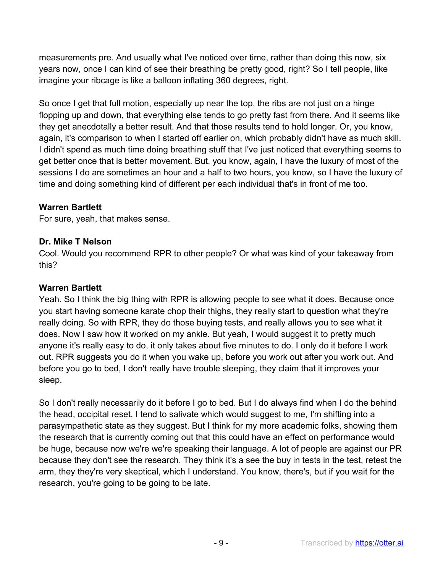measurements pre. And usually what I've noticed over time, rather than doing this now, six years now, once I can kind of see their breathing be pretty good, right? So I tell people, like imagine your ribcage is like a balloon inflating 360 degrees, right.

So once I get that full motion, especially up near the top, the ribs are not just on a hinge flopping up and down, that everything else tends to go pretty fast from there. And it seems like they get anecdotally a better result. And that those results tend to hold longer. Or, you know, again, it's comparison to when I started off earlier on, which probably didn't have as much skill. I didn't spend as much time doing breathing stuff that I've just noticed that everything seems to get better once that is better movement. But, you know, again, I have the luxury of most of the sessions I do are sometimes an hour and a half to two hours, you know, so I have the luxury of time and doing something kind of different per each individual that's in front of me too.

### **Warren Bartlett**

For sure, yeah, that makes sense.

### **Dr. Mike T Nelson**

Cool. Would you recommend RPR to other people? Or what was kind of your takeaway from this?

### **Warren Bartlett**

Yeah. So I think the big thing with RPR is allowing people to see what it does. Because once you start having someone karate chop their thighs, they really start to question what they're really doing. So with RPR, they do those buying tests, and really allows you to see what it does. Now I saw how it worked on my ankle. But yeah, I would suggest it to pretty much anyone it's really easy to do, it only takes about five minutes to do. I only do it before I work out. RPR suggests you do it when you wake up, before you work out after you work out. And before you go to bed, I don't really have trouble sleeping, they claim that it improves your sleep.

So I don't really necessarily do it before I go to bed. But I do always find when I do the behind the head, occipital reset, I tend to salivate which would suggest to me, I'm shifting into a parasympathetic state as they suggest. But I think for my more academic folks, showing them the research that is currently coming out that this could have an effect on performance would be huge, because now we're we're speaking their language. A lot of people are against our PR because they don't see the research. They think it's a see the buy in tests in the test, retest the arm, they they're very skeptical, which I understand. You know, there's, but if you wait for the research, you're going to be going to be late.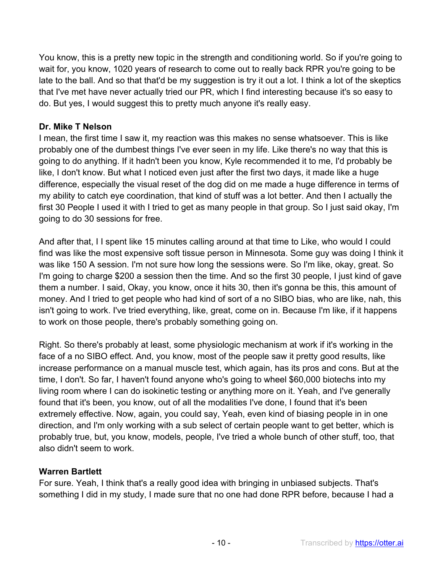You know, this is a pretty new topic in the strength and conditioning world. So if you're going to wait for, you know, 1020 years of research to come out to really back RPR you're going to be late to the ball. And so that that'd be my suggestion is try it out a lot. I think a lot of the skeptics that I've met have never actually tried our PR, which I find interesting because it's so easy to do. But yes, I would suggest this to pretty much anyone it's really easy.

#### **Dr. Mike T Nelson**

I mean, the first time I saw it, my reaction was this makes no sense whatsoever. This is like probably one of the dumbest things I've ever seen in my life. Like there's no way that this is going to do anything. If it hadn't been you know, Kyle recommended it to me, I'd probably be like, I don't know. But what I noticed even just after the first two days, it made like a huge difference, especially the visual reset of the dog did on me made a huge difference in terms of my ability to catch eye coordination, that kind of stuff was a lot better. And then I actually the first 30 People I used it with I tried to get as many people in that group. So I just said okay, I'm going to do 30 sessions for free.

And after that, I I spent like 15 minutes calling around at that time to Like, who would I could find was like the most expensive soft tissue person in Minnesota. Some guy was doing I think it was like 150 A session. I'm not sure how long the sessions were. So I'm like, okay, great. So I'm going to charge \$200 a session then the time. And so the first 30 people, I just kind of gave them a number. I said, Okay, you know, once it hits 30, then it's gonna be this, this amount of money. And I tried to get people who had kind of sort of a no SIBO bias, who are like, nah, this isn't going to work. I've tried everything, like, great, come on in. Because I'm like, if it happens to work on those people, there's probably something going on.

Right. So there's probably at least, some physiologic mechanism at work if it's working in the face of a no SIBO effect. And, you know, most of the people saw it pretty good results, like increase performance on a manual muscle test, which again, has its pros and cons. But at the time, I don't. So far, I haven't found anyone who's going to wheel \$60,000 biotechs into my living room where I can do isokinetic testing or anything more on it. Yeah, and I've generally found that it's been, you know, out of all the modalities I've done, I found that it's been extremely effective. Now, again, you could say, Yeah, even kind of biasing people in in one direction, and I'm only working with a sub select of certain people want to get better, which is probably true, but, you know, models, people, I've tried a whole bunch of other stuff, too, that also didn't seem to work.

### **Warren Bartlett**

For sure. Yeah, I think that's a really good idea with bringing in unbiased subjects. That's something I did in my study, I made sure that no one had done RPR before, because I had a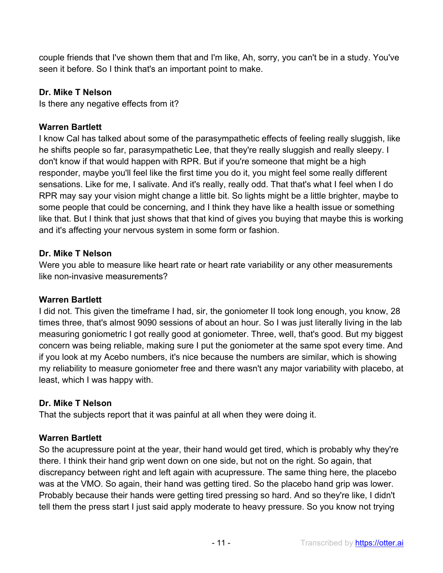couple friends that I've shown them that and I'm like, Ah, sorry, you can't be in a study. You've seen it before. So I think that's an important point to make.

#### **Dr. Mike T Nelson**

Is there any negative effects from it?

#### **Warren Bartlett**

I know Cal has talked about some of the parasympathetic effects of feeling really sluggish, like he shifts people so far, parasympathetic Lee, that they're really sluggish and really sleepy. I don't know if that would happen with RPR. But if you're someone that might be a high responder, maybe you'll feel like the first time you do it, you might feel some really different sensations. Like for me, I salivate. And it's really, really odd. That that's what I feel when I do RPR may say your vision might change a little bit. So lights might be a little brighter, maybe to some people that could be concerning, and I think they have like a health issue or something like that. But I think that just shows that that kind of gives you buying that maybe this is working and it's affecting your nervous system in some form or fashion.

#### **Dr. Mike T Nelson**

Were you able to measure like heart rate or heart rate variability or any other measurements like non-invasive measurements?

#### **Warren Bartlett**

I did not. This given the timeframe I had, sir, the goniometer II took long enough, you know, 28 times three, that's almost 9090 sessions of about an hour. So I was just literally living in the lab measuring goniometric I got really good at goniometer. Three, well, that's good. But my biggest concern was being reliable, making sure I put the goniometer at the same spot every time. And if you look at my Acebo numbers, it's nice because the numbers are similar, which is showing my reliability to measure goniometer free and there wasn't any major variability with placebo, at least, which I was happy with.

#### **Dr. Mike T Nelson**

That the subjects report that it was painful at all when they were doing it.

#### **Warren Bartlett**

So the acupressure point at the year, their hand would get tired, which is probably why they're there. I think their hand grip went down on one side, but not on the right. So again, that discrepancy between right and left again with acupressure. The same thing here, the placebo was at the VMO. So again, their hand was getting tired. So the placebo hand grip was lower. Probably because their hands were getting tired pressing so hard. And so they're like, I didn't tell them the press start I just said apply moderate to heavy pressure. So you know not trying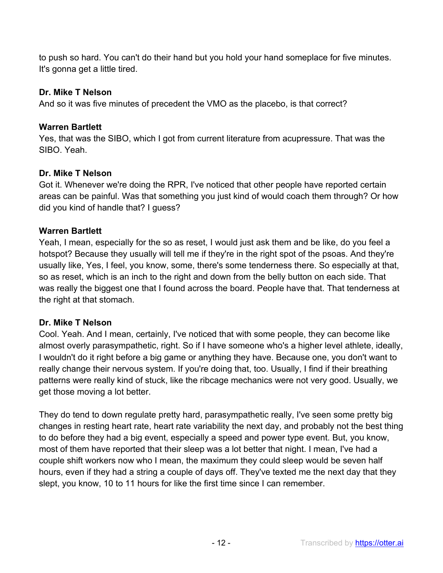to push so hard. You can't do their hand but you hold your hand someplace for five minutes. It's gonna get a little tired.

#### **Dr. Mike T Nelson**

And so it was five minutes of precedent the VMO as the placebo, is that correct?

#### **Warren Bartlett**

Yes, that was the SIBO, which I got from current literature from acupressure. That was the SIBO. Yeah.

### **Dr. Mike T Nelson**

Got it. Whenever we're doing the RPR, I've noticed that other people have reported certain areas can be painful. Was that something you just kind of would coach them through? Or how did you kind of handle that? I guess?

#### **Warren Bartlett**

Yeah, I mean, especially for the so as reset, I would just ask them and be like, do you feel a hotspot? Because they usually will tell me if they're in the right spot of the psoas. And they're usually like, Yes, I feel, you know, some, there's some tenderness there. So especially at that, so as reset, which is an inch to the right and down from the belly button on each side. That was really the biggest one that I found across the board. People have that. That tenderness at the right at that stomach.

### **Dr. Mike T Nelson**

Cool. Yeah. And I mean, certainly, I've noticed that with some people, they can become like almost overly parasympathetic, right. So if I have someone who's a higher level athlete, ideally, I wouldn't do it right before a big game or anything they have. Because one, you don't want to really change their nervous system. If you're doing that, too. Usually, I find if their breathing patterns were really kind of stuck, like the ribcage mechanics were not very good. Usually, we get those moving a lot better.

They do tend to down regulate pretty hard, parasympathetic really, I've seen some pretty big changes in resting heart rate, heart rate variability the next day, and probably not the best thing to do before they had a big event, especially a speed and power type event. But, you know, most of them have reported that their sleep was a lot better that night. I mean, I've had a couple shift workers now who I mean, the maximum they could sleep would be seven half hours, even if they had a string a couple of days off. They've texted me the next day that they slept, you know, 10 to 11 hours for like the first time since I can remember.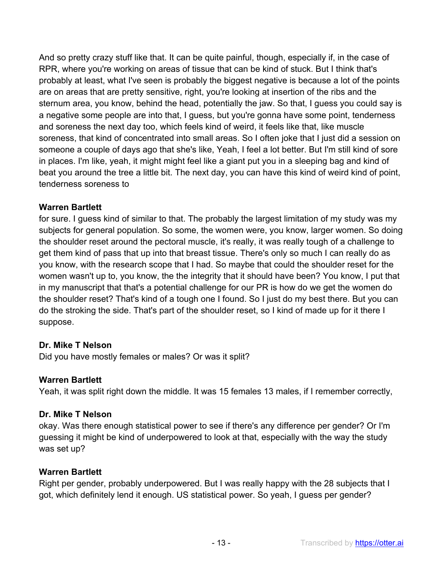And so pretty crazy stuff like that. It can be quite painful, though, especially if, in the case of RPR, where you're working on areas of tissue that can be kind of stuck. But I think that's probably at least, what I've seen is probably the biggest negative is because a lot of the points are on areas that are pretty sensitive, right, you're looking at insertion of the ribs and the sternum area, you know, behind the head, potentially the jaw. So that, I guess you could say is a negative some people are into that, I guess, but you're gonna have some point, tenderness and soreness the next day too, which feels kind of weird, it feels like that, like muscle soreness, that kind of concentrated into small areas. So I often joke that I just did a session on someone a couple of days ago that she's like, Yeah, I feel a lot better. But I'm still kind of sore in places. I'm like, yeah, it might might feel like a giant put you in a sleeping bag and kind of beat you around the tree a little bit. The next day, you can have this kind of weird kind of point, tenderness soreness to

### **Warren Bartlett**

for sure. I guess kind of similar to that. The probably the largest limitation of my study was my subjects for general population. So some, the women were, you know, larger women. So doing the shoulder reset around the pectoral muscle, it's really, it was really tough of a challenge to get them kind of pass that up into that breast tissue. There's only so much I can really do as you know, with the research scope that I had. So maybe that could the shoulder reset for the women wasn't up to, you know, the the integrity that it should have been? You know, I put that in my manuscript that that's a potential challenge for our PR is how do we get the women do the shoulder reset? That's kind of a tough one I found. So I just do my best there. But you can do the stroking the side. That's part of the shoulder reset, so I kind of made up for it there I suppose.

### **Dr. Mike T Nelson**

Did you have mostly females or males? Or was it split?

### **Warren Bartlett**

Yeah, it was split right down the middle. It was 15 females 13 males, if I remember correctly,

#### **Dr. Mike T Nelson**

okay. Was there enough statistical power to see if there's any difference per gender? Or I'm guessing it might be kind of underpowered to look at that, especially with the way the study was set up?

#### **Warren Bartlett**

Right per gender, probably underpowered. But I was really happy with the 28 subjects that I got, which definitely lend it enough. US statistical power. So yeah, I guess per gender?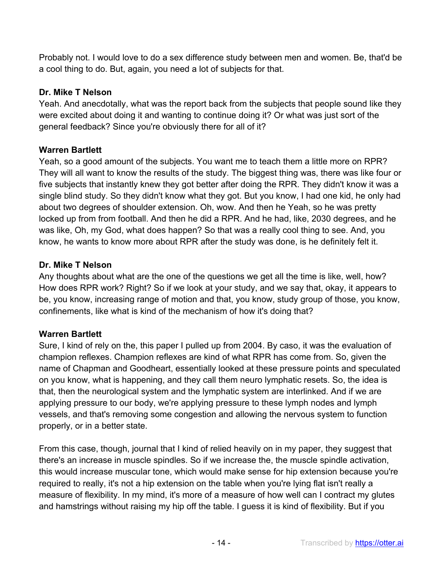Probably not. I would love to do a sex difference study between men and women. Be, that'd be a cool thing to do. But, again, you need a lot of subjects for that.

## **Dr. Mike T Nelson**

Yeah. And anecdotally, what was the report back from the subjects that people sound like they were excited about doing it and wanting to continue doing it? Or what was just sort of the general feedback? Since you're obviously there for all of it?

# **Warren Bartlett**

Yeah, so a good amount of the subjects. You want me to teach them a little more on RPR? They will all want to know the results of the study. The biggest thing was, there was like four or five subjects that instantly knew they got better after doing the RPR. They didn't know it was a single blind study. So they didn't know what they got. But you know, I had one kid, he only had about two degrees of shoulder extension. Oh, wow. And then he Yeah, so he was pretty locked up from from football. And then he did a RPR. And he had, like, 2030 degrees, and he was like, Oh, my God, what does happen? So that was a really cool thing to see. And, you know, he wants to know more about RPR after the study was done, is he definitely felt it.

# **Dr. Mike T Nelson**

Any thoughts about what are the one of the questions we get all the time is like, well, how? How does RPR work? Right? So if we look at your study, and we say that, okay, it appears to be, you know, increasing range of motion and that, you know, study group of those, you know, confinements, like what is kind of the mechanism of how it's doing that?

# **Warren Bartlett**

Sure, I kind of rely on the, this paper I pulled up from 2004. By caso, it was the evaluation of champion reflexes. Champion reflexes are kind of what RPR has come from. So, given the name of Chapman and Goodheart, essentially looked at these pressure points and speculated on you know, what is happening, and they call them neuro lymphatic resets. So, the idea is that, then the neurological system and the lymphatic system are interlinked. And if we are applying pressure to our body, we're applying pressure to these lymph nodes and lymph vessels, and that's removing some congestion and allowing the nervous system to function properly, or in a better state.

From this case, though, journal that I kind of relied heavily on in my paper, they suggest that there's an increase in muscle spindles. So if we increase the, the muscle spindle activation, this would increase muscular tone, which would make sense for hip extension because you're required to really, it's not a hip extension on the table when you're lying flat isn't really a measure of flexibility. In my mind, it's more of a measure of how well can I contract my glutes and hamstrings without raising my hip off the table. I guess it is kind of flexibility. But if you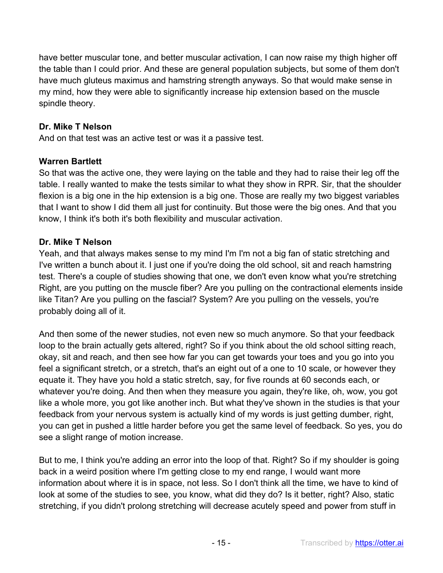have better muscular tone, and better muscular activation, I can now raise my thigh higher off the table than I could prior. And these are general population subjects, but some of them don't have much gluteus maximus and hamstring strength anyways. So that would make sense in my mind, how they were able to significantly increase hip extension based on the muscle spindle theory.

### **Dr. Mike T Nelson**

And on that test was an active test or was it a passive test.

#### **Warren Bartlett**

So that was the active one, they were laying on the table and they had to raise their leg off the table. I really wanted to make the tests similar to what they show in RPR. Sir, that the shoulder flexion is a big one in the hip extension is a big one. Those are really my two biggest variables that I want to show I did them all just for continuity. But those were the big ones. And that you know, I think it's both it's both flexibility and muscular activation.

#### **Dr. Mike T Nelson**

Yeah, and that always makes sense to my mind I'm I'm not a big fan of static stretching and I've written a bunch about it. I just one if you're doing the old school, sit and reach hamstring test. There's a couple of studies showing that one, we don't even know what you're stretching Right, are you putting on the muscle fiber? Are you pulling on the contractional elements inside like Titan? Are you pulling on the fascial? System? Are you pulling on the vessels, you're probably doing all of it.

And then some of the newer studies, not even new so much anymore. So that your feedback loop to the brain actually gets altered, right? So if you think about the old school sitting reach, okay, sit and reach, and then see how far you can get towards your toes and you go into you feel a significant stretch, or a stretch, that's an eight out of a one to 10 scale, or however they equate it. They have you hold a static stretch, say, for five rounds at 60 seconds each, or whatever you're doing. And then when they measure you again, they're like, oh, wow, you got like a whole more, you got like another inch. But what they've shown in the studies is that your feedback from your nervous system is actually kind of my words is just getting dumber, right, you can get in pushed a little harder before you get the same level of feedback. So yes, you do see a slight range of motion increase.

But to me, I think you're adding an error into the loop of that. Right? So if my shoulder is going back in a weird position where I'm getting close to my end range, I would want more information about where it is in space, not less. So I don't think all the time, we have to kind of look at some of the studies to see, you know, what did they do? Is it better, right? Also, static stretching, if you didn't prolong stretching will decrease acutely speed and power from stuff in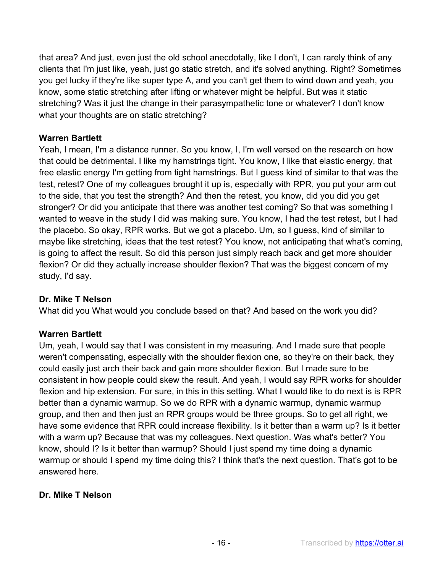that area? And just, even just the old school anecdotally, like I don't, I can rarely think of any clients that I'm just like, yeah, just go static stretch, and it's solved anything. Right? Sometimes you get lucky if they're like super type A, and you can't get them to wind down and yeah, you know, some static stretching after lifting or whatever might be helpful. But was it static stretching? Was it just the change in their parasympathetic tone or whatever? I don't know what your thoughts are on static stretching?

#### **Warren Bartlett**

Yeah, I mean, I'm a distance runner. So you know, I, I'm well versed on the research on how that could be detrimental. I like my hamstrings tight. You know, I like that elastic energy, that free elastic energy I'm getting from tight hamstrings. But I guess kind of similar to that was the test, retest? One of my colleagues brought it up is, especially with RPR, you put your arm out to the side, that you test the strength? And then the retest, you know, did you did you get stronger? Or did you anticipate that there was another test coming? So that was something I wanted to weave in the study I did was making sure. You know, I had the test retest, but I had the placebo. So okay, RPR works. But we got a placebo. Um, so I guess, kind of similar to maybe like stretching, ideas that the test retest? You know, not anticipating that what's coming, is going to affect the result. So did this person just simply reach back and get more shoulder flexion? Or did they actually increase shoulder flexion? That was the biggest concern of my study, I'd say.

#### **Dr. Mike T Nelson**

What did you What would you conclude based on that? And based on the work you did?

### **Warren Bartlett**

Um, yeah, I would say that I was consistent in my measuring. And I made sure that people weren't compensating, especially with the shoulder flexion one, so they're on their back, they could easily just arch their back and gain more shoulder flexion. But I made sure to be consistent in how people could skew the result. And yeah, I would say RPR works for shoulder flexion and hip extension. For sure, in this in this setting. What I would like to do next is is RPR better than a dynamic warmup. So we do RPR with a dynamic warmup, dynamic warmup group, and then and then just an RPR groups would be three groups. So to get all right, we have some evidence that RPR could increase flexibility. Is it better than a warm up? Is it better with a warm up? Because that was my colleagues. Next question. Was what's better? You know, should I? Is it better than warmup? Should I just spend my time doing a dynamic warmup or should I spend my time doing this? I think that's the next question. That's got to be answered here.

#### **Dr. Mike T Nelson**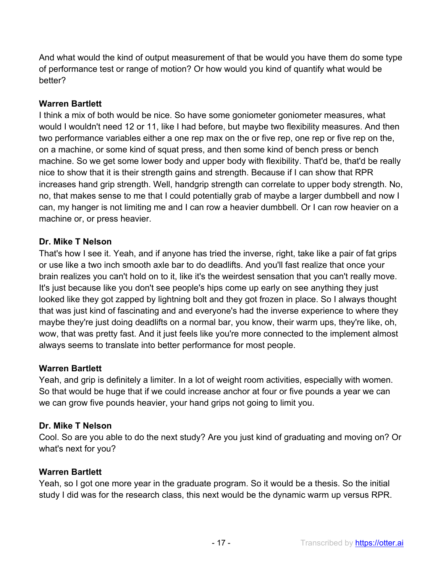And what would the kind of output measurement of that be would you have them do some type of performance test or range of motion? Or how would you kind of quantify what would be better?

#### **Warren Bartlett**

I think a mix of both would be nice. So have some goniometer goniometer measures, what would I wouldn't need 12 or 11, like I had before, but maybe two flexibility measures. And then two performance variables either a one rep max on the or five rep, one rep or five rep on the, on a machine, or some kind of squat press, and then some kind of bench press or bench machine. So we get some lower body and upper body with flexibility. That'd be, that'd be really nice to show that it is their strength gains and strength. Because if I can show that RPR increases hand grip strength. Well, handgrip strength can correlate to upper body strength. No, no, that makes sense to me that I could potentially grab of maybe a larger dumbbell and now I can, my hanger is not limiting me and I can row a heavier dumbbell. Or I can row heavier on a machine or, or press heavier.

#### **Dr. Mike T Nelson**

That's how I see it. Yeah, and if anyone has tried the inverse, right, take like a pair of fat grips or use like a two inch smooth axle bar to do deadlifts. And you'll fast realize that once your brain realizes you can't hold on to it, like it's the weirdest sensation that you can't really move. It's just because like you don't see people's hips come up early on see anything they just looked like they got zapped by lightning bolt and they got frozen in place. So I always thought that was just kind of fascinating and and everyone's had the inverse experience to where they maybe they're just doing deadlifts on a normal bar, you know, their warm ups, they're like, oh, wow, that was pretty fast. And it just feels like you're more connected to the implement almost always seems to translate into better performance for most people.

### **Warren Bartlett**

Yeah, and grip is definitely a limiter. In a lot of weight room activities, especially with women. So that would be huge that if we could increase anchor at four or five pounds a year we can we can grow five pounds heavier, your hand grips not going to limit you.

### **Dr. Mike T Nelson**

Cool. So are you able to do the next study? Are you just kind of graduating and moving on? Or what's next for you?

#### **Warren Bartlett**

Yeah, so I got one more year in the graduate program. So it would be a thesis. So the initial study I did was for the research class, this next would be the dynamic warm up versus RPR.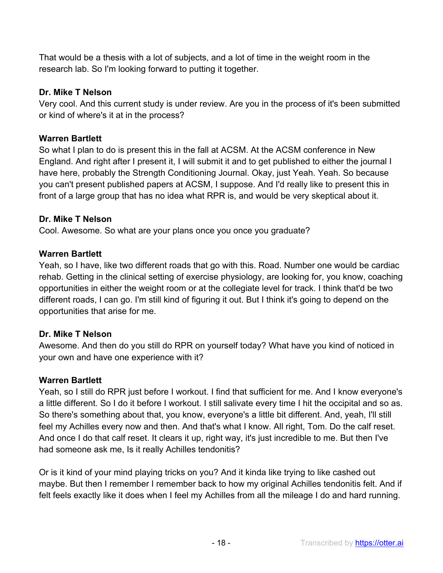That would be a thesis with a lot of subjects, and a lot of time in the weight room in the research lab. So I'm looking forward to putting it together.

## **Dr. Mike T Nelson**

Very cool. And this current study is under review. Are you in the process of it's been submitted or kind of where's it at in the process?

# **Warren Bartlett**

So what I plan to do is present this in the fall at ACSM. At the ACSM conference in New England. And right after I present it, I will submit it and to get published to either the journal I have here, probably the Strength Conditioning Journal. Okay, just Yeah. Yeah. So because you can't present published papers at ACSM, I suppose. And I'd really like to present this in front of a large group that has no idea what RPR is, and would be very skeptical about it.

### **Dr. Mike T Nelson**

Cool. Awesome. So what are your plans once you once you graduate?

# **Warren Bartlett**

Yeah, so I have, like two different roads that go with this. Road. Number one would be cardiac rehab. Getting in the clinical setting of exercise physiology, are looking for, you know, coaching opportunities in either the weight room or at the collegiate level for track. I think that'd be two different roads, I can go. I'm still kind of figuring it out. But I think it's going to depend on the opportunities that arise for me.

### **Dr. Mike T Nelson**

Awesome. And then do you still do RPR on yourself today? What have you kind of noticed in your own and have one experience with it?

### **Warren Bartlett**

Yeah, so I still do RPR just before I workout. I find that sufficient for me. And I know everyone's a little different. So I do it before I workout. I still salivate every time I hit the occipital and so as. So there's something about that, you know, everyone's a little bit different. And, yeah, I'll still feel my Achilles every now and then. And that's what I know. All right, Tom. Do the calf reset. And once I do that calf reset. It clears it up, right way, it's just incredible to me. But then I've had someone ask me, Is it really Achilles tendonitis?

Or is it kind of your mind playing tricks on you? And it kinda like trying to like cashed out maybe. But then I remember I remember back to how my original Achilles tendonitis felt. And if felt feels exactly like it does when I feel my Achilles from all the mileage I do and hard running.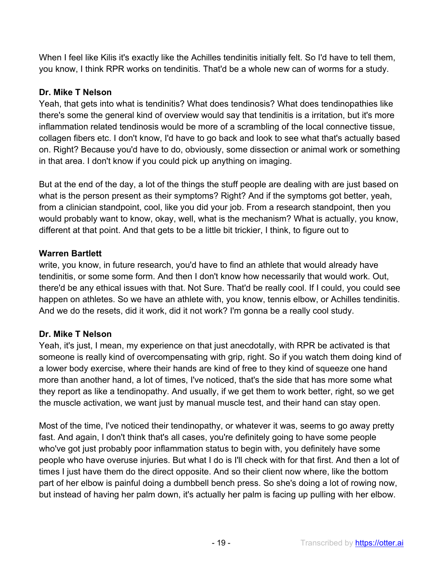When I feel like Kilis it's exactly like the Achilles tendinitis initially felt. So I'd have to tell them, you know, I think RPR works on tendinitis. That'd be a whole new can of worms for a study.

# **Dr. Mike T Nelson**

Yeah, that gets into what is tendinitis? What does tendinosis? What does tendinopathies like there's some the general kind of overview would say that tendinitis is a irritation, but it's more inflammation related tendinosis would be more of a scrambling of the local connective tissue, collagen fibers etc. I don't know, I'd have to go back and look to see what that's actually based on. Right? Because you'd have to do, obviously, some dissection or animal work or something in that area. I don't know if you could pick up anything on imaging.

But at the end of the day, a lot of the things the stuff people are dealing with are just based on what is the person present as their symptoms? Right? And if the symptoms got better, yeah, from a clinician standpoint, cool, like you did your job. From a research standpoint, then you would probably want to know, okay, well, what is the mechanism? What is actually, you know, different at that point. And that gets to be a little bit trickier, I think, to figure out to

### **Warren Bartlett**

write, you know, in future research, you'd have to find an athlete that would already have tendinitis, or some some form. And then I don't know how necessarily that would work. Out, there'd be any ethical issues with that. Not Sure. That'd be really cool. If I could, you could see happen on athletes. So we have an athlete with, you know, tennis elbow, or Achilles tendinitis. And we do the resets, did it work, did it not work? I'm gonna be a really cool study.

### **Dr. Mike T Nelson**

Yeah, it's just, I mean, my experience on that just anecdotally, with RPR be activated is that someone is really kind of overcompensating with grip, right. So if you watch them doing kind of a lower body exercise, where their hands are kind of free to they kind of squeeze one hand more than another hand, a lot of times, I've noticed, that's the side that has more some what they report as like a tendinopathy. And usually, if we get them to work better, right, so we get the muscle activation, we want just by manual muscle test, and their hand can stay open.

Most of the time, I've noticed their tendinopathy, or whatever it was, seems to go away pretty fast. And again, I don't think that's all cases, you're definitely going to have some people who've got just probably poor inflammation status to begin with, you definitely have some people who have overuse injuries. But what I do is I'll check with for that first. And then a lot of times I just have them do the direct opposite. And so their client now where, like the bottom part of her elbow is painful doing a dumbbell bench press. So she's doing a lot of rowing now, but instead of having her palm down, it's actually her palm is facing up pulling with her elbow.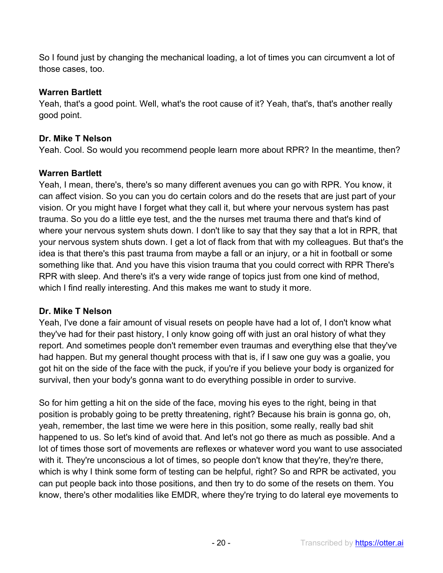So I found just by changing the mechanical loading, a lot of times you can circumvent a lot of those cases, too.

## **Warren Bartlett**

Yeah, that's a good point. Well, what's the root cause of it? Yeah, that's, that's another really good point.

## **Dr. Mike T Nelson**

Yeah. Cool. So would you recommend people learn more about RPR? In the meantime, then?

# **Warren Bartlett**

Yeah, I mean, there's, there's so many different avenues you can go with RPR. You know, it can affect vision. So you can you do certain colors and do the resets that are just part of your vision. Or you might have I forget what they call it, but where your nervous system has past trauma. So you do a little eye test, and the the nurses met trauma there and that's kind of where your nervous system shuts down. I don't like to say that they say that a lot in RPR, that your nervous system shuts down. I get a lot of flack from that with my colleagues. But that's the idea is that there's this past trauma from maybe a fall or an injury, or a hit in football or some something like that. And you have this vision trauma that you could correct with RPR There's RPR with sleep. And there's it's a very wide range of topics just from one kind of method, which I find really interesting. And this makes me want to study it more.

### **Dr. Mike T Nelson**

Yeah, I've done a fair amount of visual resets on people have had a lot of, I don't know what they've had for their past history, I only know going off with just an oral history of what they report. And sometimes people don't remember even traumas and everything else that they've had happen. But my general thought process with that is, if I saw one guy was a goalie, you got hit on the side of the face with the puck, if you're if you believe your body is organized for survival, then your body's gonna want to do everything possible in order to survive.

So for him getting a hit on the side of the face, moving his eyes to the right, being in that position is probably going to be pretty threatening, right? Because his brain is gonna go, oh, yeah, remember, the last time we were here in this position, some really, really bad shit happened to us. So let's kind of avoid that. And let's not go there as much as possible. And a lot of times those sort of movements are reflexes or whatever word you want to use associated with it. They're unconscious a lot of times, so people don't know that they're, they're there, which is why I think some form of testing can be helpful, right? So and RPR be activated, you can put people back into those positions, and then try to do some of the resets on them. You know, there's other modalities like EMDR, where they're trying to do lateral eye movements to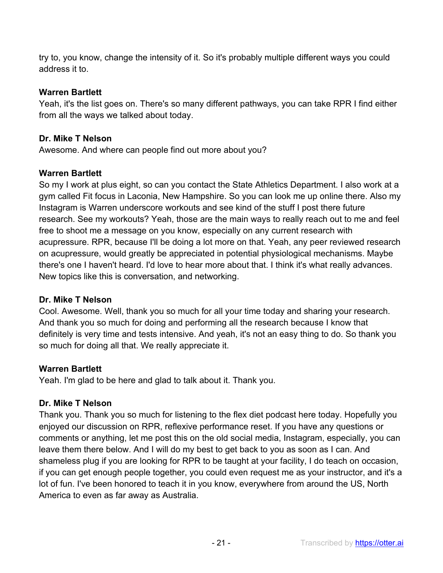try to, you know, change the intensity of it. So it's probably multiple different ways you could address it to.

## **Warren Bartlett**

Yeah, it's the list goes on. There's so many different pathways, you can take RPR I find either from all the ways we talked about today.

# **Dr. Mike T Nelson**

Awesome. And where can people find out more about you?

# **Warren Bartlett**

So my I work at plus eight, so can you contact the State Athletics Department. I also work at a gym called Fit focus in Laconia, New Hampshire. So you can look me up online there. Also my Instagram is Warren underscore workouts and see kind of the stuff I post there future research. See my workouts? Yeah, those are the main ways to really reach out to me and feel free to shoot me a message on you know, especially on any current research with acupressure. RPR, because I'll be doing a lot more on that. Yeah, any peer reviewed research on acupressure, would greatly be appreciated in potential physiological mechanisms. Maybe there's one I haven't heard. I'd love to hear more about that. I think it's what really advances. New topics like this is conversation, and networking.

### **Dr. Mike T Nelson**

Cool. Awesome. Well, thank you so much for all your time today and sharing your research. And thank you so much for doing and performing all the research because I know that definitely is very time and tests intensive. And yeah, it's not an easy thing to do. So thank you so much for doing all that. We really appreciate it.

# **Warren Bartlett**

Yeah. I'm glad to be here and glad to talk about it. Thank you.

# **Dr. Mike T Nelson**

Thank you. Thank you so much for listening to the flex diet podcast here today. Hopefully you enjoyed our discussion on RPR, reflexive performance reset. If you have any questions or comments or anything, let me post this on the old social media, Instagram, especially, you can leave them there below. And I will do my best to get back to you as soon as I can. And shameless plug if you are looking for RPR to be taught at your facility, I do teach on occasion, if you can get enough people together, you could even request me as your instructor, and it's a lot of fun. I've been honored to teach it in you know, everywhere from around the US, North America to even as far away as Australia.